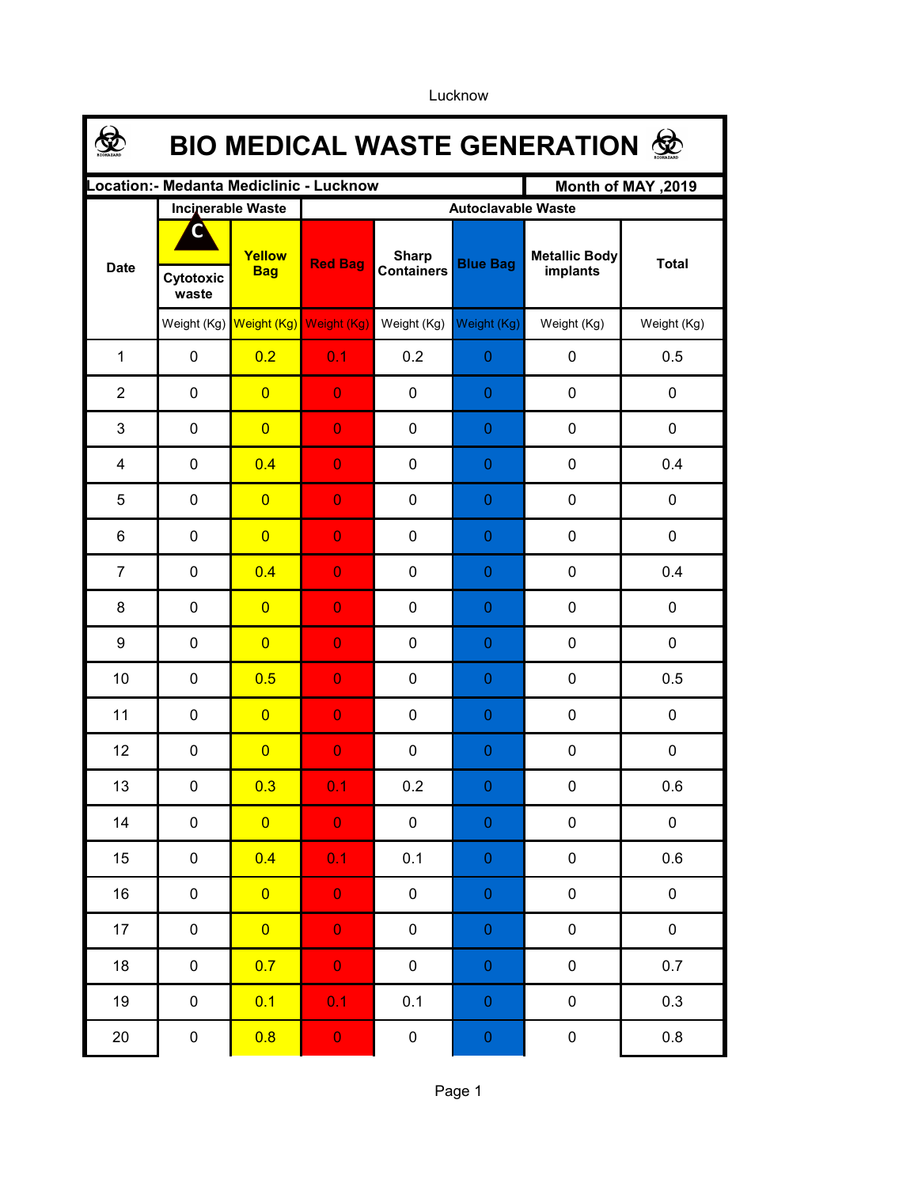Lucknow